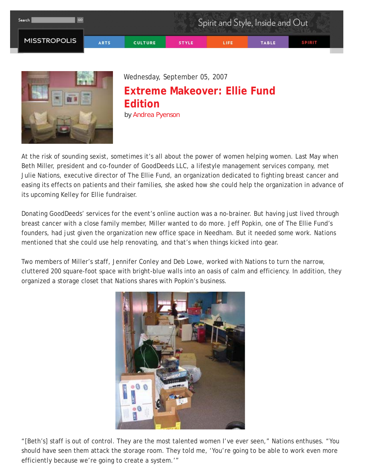



Wednesday, September 05, 2007

## **Extreme Makeover: Ellie Fund Edition** *by Andrea Pyenson*

At the risk of sounding sexist, sometimes it's all about the power of women helping women. Last May when Beth Miller, president and co-founder of GoodDeeds LLC, a lifestyle management services company, met Julie Nations, executive director of The Ellie Fund, an organization dedicated to fighting breast cancer and easing its effects on patients and their families, she asked how she could help the organization in advance of its upcoming Kelley for Ellie fundraiser.

Donating GoodDeeds' services for the event's online auction was a no-brainer. But having just lived through breast cancer with a close family member, Miller wanted to do more. Jeff Popkin, one of The Ellie Fund's founders, had just given the organization new office space in Needham. But it needed some work. Nations mentioned that she could use help renovating, and that's when things kicked into gear.

Two members of Miller's staff, Jennifer Conley and Deb Lowe, worked with Nations to turn the narrow, cluttered 200 square-foot space with bright-blue walls into an oasis of calm and efficiency. In addition, they organized a storage closet that Nations shares with Popkin's business.



"[Beth's] staff is out of control. They are the most talented women I've ever seen," Nations enthuses. "You should have seen them attack the storage room. They told me, 'You're going to be able to work even more efficiently because we're going to create a system.'"